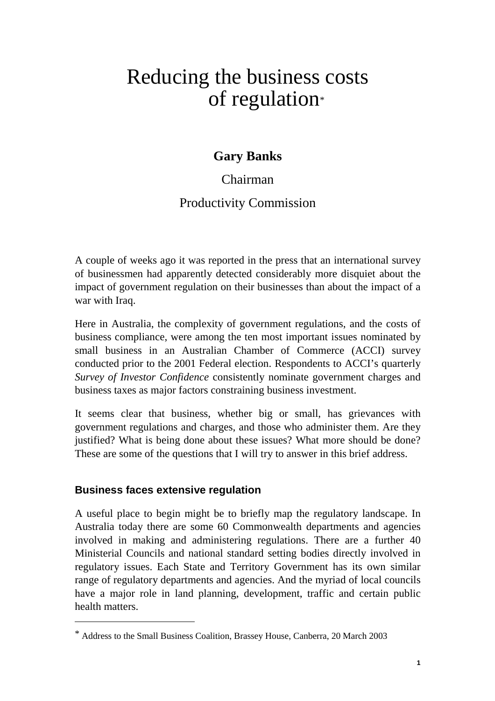# Reducing the business costs of regulation\*

# **Gary Banks**

Chairman

# Productivity Commission

A couple of weeks ago it was reported in the press that an international survey of businessmen had apparently detected considerably more disquiet about the impact of government regulation on their businesses than about the impact of a war with Iraq.

Here in Australia, the complexity of government regulations, and the costs of business compliance, were among the ten most important issues nominated by small business in an Australian Chamber of Commerce (ACCI) survey conducted prior to the 2001 Federal election. Respondents to ACCI's quarterly *Survey of Investor Confidence* consistently nominate government charges and business taxes as major factors constraining business investment.

It seems clear that business, whether big or small, has grievances with government regulations and charges, and those who administer them. Are they justified? What is being done about these issues? What more should be done? These are some of the questions that I will try to answer in this brief address.

# **Business faces extensive regulation**

-

A useful place to begin might be to briefly map the regulatory landscape. In Australia today there are some 60 Commonwealth departments and agencies involved in making and administering regulations. There are a further 40 Ministerial Councils and national standard setting bodies directly involved in regulatory issues. Each State and Territory Government has its own similar range of regulatory departments and agencies. And the myriad of local councils have a major role in land planning, development, traffic and certain public health matters.

<sup>\*</sup> Address to the Small Business Coalition, Brassey House, Canberra, 20 March 2003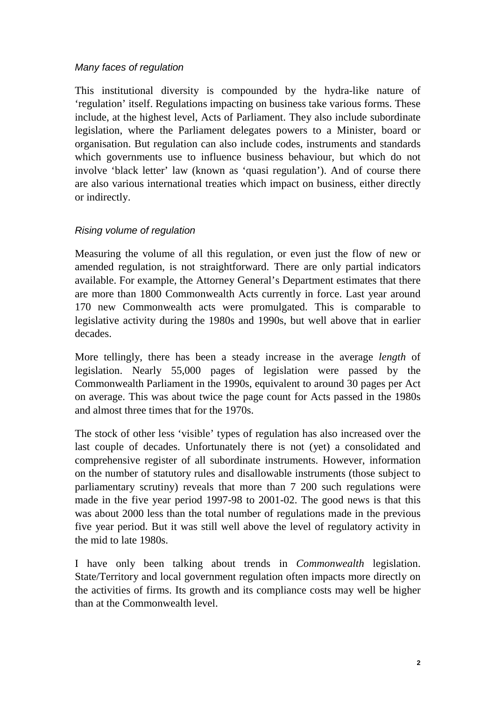#### Many faces of regulation

This institutional diversity is compounded by the hydra-like nature of 'regulation' itself. Regulations impacting on business take various forms. These include, at the highest level, Acts of Parliament. They also include subordinate legislation, where the Parliament delegates powers to a Minister, board or organisation. But regulation can also include codes, instruments and standards which governments use to influence business behaviour, but which do not involve 'black letter' law (known as 'quasi regulation'). And of course there are also various international treaties which impact on business, either directly or indirectly.

#### Rising volume of regulation

Measuring the volume of all this regulation, or even just the flow of new or amended regulation, is not straightforward. There are only partial indicators available. For example, the Attorney General's Department estimates that there are more than 1800 Commonwealth Acts currently in force. Last year around 170 new Commonwealth acts were promulgated. This is comparable to legislative activity during the 1980s and 1990s, but well above that in earlier decades.

More tellingly, there has been a steady increase in the average *length* of legislation. Nearly 55,000 pages of legislation were passed by the Commonwealth Parliament in the 1990s, equivalent to around 30 pages per Act on average. This was about twice the page count for Acts passed in the 1980s and almost three times that for the 1970s.

The stock of other less 'visible' types of regulation has also increased over the last couple of decades. Unfortunately there is not (yet) a consolidated and comprehensive register of all subordinate instruments. However, information on the number of statutory rules and disallowable instruments (those subject to parliamentary scrutiny) reveals that more than 7 200 such regulations were made in the five year period 1997-98 to 2001-02. The good news is that this was about 2000 less than the total number of regulations made in the previous five year period. But it was still well above the level of regulatory activity in the mid to late 1980s.

I have only been talking about trends in *Commonwealth* legislation. State/Territory and local government regulation often impacts more directly on the activities of firms. Its growth and its compliance costs may well be higher than at the Commonwealth level.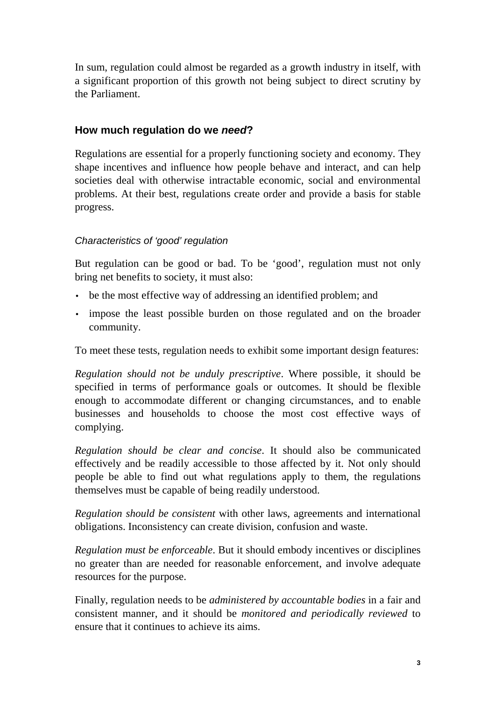In sum, regulation could almost be regarded as a growth industry in itself, with a significant proportion of this growth not being subject to direct scrutiny by the Parliament.

### **How much regulation do we need?**

Regulations are essential for a properly functioning society and economy. They shape incentives and influence how people behave and interact, and can help societies deal with otherwise intractable economic, social and environmental problems. At their best, regulations create order and provide a basis for stable progress.

# Characteristics of 'good' regulation

But regulation can be good or bad. To be 'good', regulation must not only bring net benefits to society, it must also:

- be the most effective way of addressing an identified problem; and
- impose the least possible burden on those regulated and on the broader community.

To meet these tests, regulation needs to exhibit some important design features:

*Regulation should not be unduly prescriptive*. Where possible, it should be specified in terms of performance goals or outcomes. It should be flexible enough to accommodate different or changing circumstances, and to enable businesses and households to choose the most cost effective ways of complying.

*Regulation should be clear and concise*. It should also be communicated effectively and be readily accessible to those affected by it. Not only should people be able to find out what regulations apply to them, the regulations themselves must be capable of being readily understood.

*Regulation should be consistent* with other laws, agreements and international obligations. Inconsistency can create division, confusion and waste.

*Regulation must be enforceable*. But it should embody incentives or disciplines no greater than are needed for reasonable enforcement, and involve adequate resources for the purpose.

Finally, regulation needs to be *administered by accountable bodies* in a fair and consistent manner, and it should be *monitored and periodically reviewed* to ensure that it continues to achieve its aims.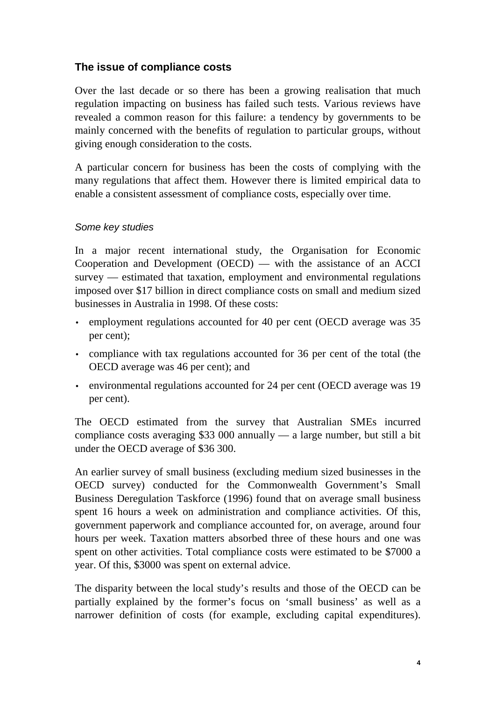# **The issue of compliance costs**

Over the last decade or so there has been a growing realisation that much regulation impacting on business has failed such tests. Various reviews have revealed a common reason for this failure: a tendency by governments to be mainly concerned with the benefits of regulation to particular groups, without giving enough consideration to the costs.

A particular concern for business has been the costs of complying with the many regulations that affect them. However there is limited empirical data to enable a consistent assessment of compliance costs, especially over time.

#### Some key studies

In a major recent international study, the Organisation for Economic Cooperation and Development (OECD) — with the assistance of an ACCI survey — estimated that taxation, employment and environmental regulations imposed over \$17 billion in direct compliance costs on small and medium sized businesses in Australia in 1998. Of these costs:

- employment regulations accounted for 40 per cent (OECD average was 35 per cent);
- compliance with tax regulations accounted for 36 per cent of the total (the OECD average was 46 per cent); and
- environmental regulations accounted for 24 per cent (OECD average was 19 per cent).

The OECD estimated from the survey that Australian SMEs incurred compliance costs averaging \$33 000 annually — a large number, but still a bit under the OECD average of \$36 300.

An earlier survey of small business (excluding medium sized businesses in the OECD survey) conducted for the Commonwealth Government's Small Business Deregulation Taskforce (1996) found that on average small business spent 16 hours a week on administration and compliance activities. Of this, government paperwork and compliance accounted for, on average, around four hours per week. Taxation matters absorbed three of these hours and one was spent on other activities. Total compliance costs were estimated to be \$7000 a year. Of this, \$3000 was spent on external advice.

The disparity between the local study's results and those of the OECD can be partially explained by the former's focus on 'small business' as well as a narrower definition of costs (for example, excluding capital expenditures).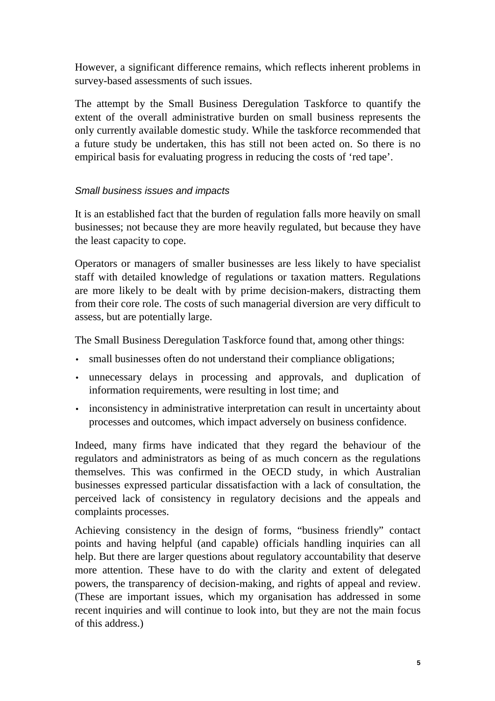However, a significant difference remains, which reflects inherent problems in survey-based assessments of such issues.

The attempt by the Small Business Deregulation Taskforce to quantify the extent of the overall administrative burden on small business represents the only currently available domestic study. While the taskforce recommended that a future study be undertaken, this has still not been acted on. So there is no empirical basis for evaluating progress in reducing the costs of 'red tape'.

#### Small business issues and impacts

It is an established fact that the burden of regulation falls more heavily on small businesses; not because they are more heavily regulated, but because they have the least capacity to cope.

Operators or managers of smaller businesses are less likely to have specialist staff with detailed knowledge of regulations or taxation matters. Regulations are more likely to be dealt with by prime decision-makers, distracting them from their core role. The costs of such managerial diversion are very difficult to assess, but are potentially large.

The Small Business Deregulation Taskforce found that, among other things:

- small businesses often do not understand their compliance obligations;
- unnecessary delays in processing and approvals, and duplication of information requirements, were resulting in lost time; and
- inconsistency in administrative interpretation can result in uncertainty about processes and outcomes, which impact adversely on business confidence.

Indeed, many firms have indicated that they regard the behaviour of the regulators and administrators as being of as much concern as the regulations themselves. This was confirmed in the OECD study, in which Australian businesses expressed particular dissatisfaction with a lack of consultation, the perceived lack of consistency in regulatory decisions and the appeals and complaints processes.

Achieving consistency in the design of forms, "business friendly" contact points and having helpful (and capable) officials handling inquiries can all help. But there are larger questions about regulatory accountability that deserve more attention. These have to do with the clarity and extent of delegated powers, the transparency of decision-making, and rights of appeal and review. (These are important issues, which my organisation has addressed in some recent inquiries and will continue to look into, but they are not the main focus of this address.)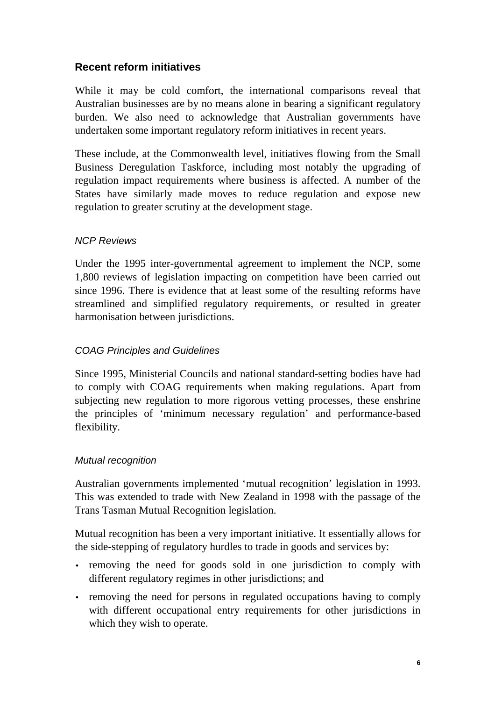# **Recent reform initiatives**

While it may be cold comfort, the international comparisons reveal that Australian businesses are by no means alone in bearing a significant regulatory burden. We also need to acknowledge that Australian governments have undertaken some important regulatory reform initiatives in recent years.

These include, at the Commonwealth level, initiatives flowing from the Small Business Deregulation Taskforce, including most notably the upgrading of regulation impact requirements where business is affected. A number of the States have similarly made moves to reduce regulation and expose new regulation to greater scrutiny at the development stage.

#### NCP Reviews

Under the 1995 inter-governmental agreement to implement the NCP, some 1,800 reviews of legislation impacting on competition have been carried out since 1996. There is evidence that at least some of the resulting reforms have streamlined and simplified regulatory requirements, or resulted in greater harmonisation between jurisdictions.

# COAG Principles and Guidelines

Since 1995, Ministerial Councils and national standard-setting bodies have had to comply with COAG requirements when making regulations. Apart from subjecting new regulation to more rigorous vetting processes, these enshrine the principles of 'minimum necessary regulation' and performance-based flexibility.

#### Mutual recognition

Australian governments implemented 'mutual recognition' legislation in 1993. This was extended to trade with New Zealand in 1998 with the passage of the Trans Tasman Mutual Recognition legislation.

Mutual recognition has been a very important initiative. It essentially allows for the side-stepping of regulatory hurdles to trade in goods and services by:

- removing the need for goods sold in one jurisdiction to comply with different regulatory regimes in other jurisdictions; and
- removing the need for persons in regulated occupations having to comply with different occupational entry requirements for other jurisdictions in which they wish to operate.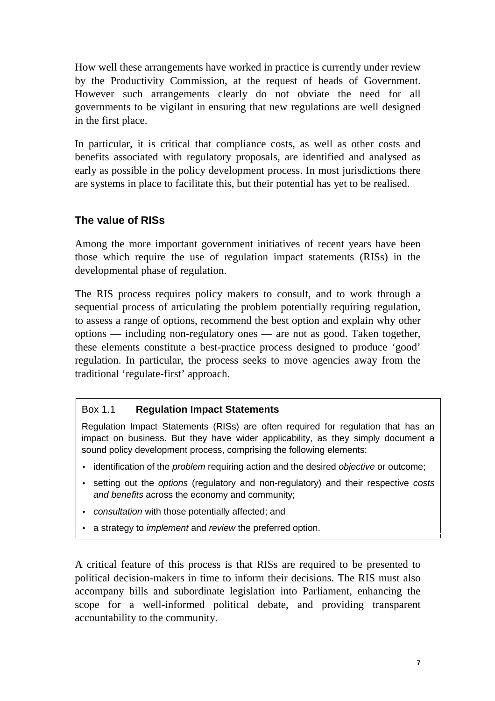How well these arrangements have worked in practice is currently under review by the Productivity Commission, at the request of heads of Government. However such arrangements clearly do not obviate the need for all governments to be vigilant in ensuring that new regulations are well designed in the first place.

In particular, it is critical that compliance costs, as well as other costs and benefits associated with regulatory proposals, are identified and analysed as early as possible in the policy development process. In most jurisdictions there are systems in place to facilitate this, but their potential has yet to be realised.

# **The value of RISs**

Among the more important government initiatives of recent years have been those which require the use of regulation impact statements (RISs) in the developmental phase of regulation.

The RIS process requires policy makers to consult, and to work through a sequential process of articulating the problem potentially requiring regulation, to assess a range of options, recommend the best option and explain why other options — including non-regulatory ones — are not as good. Taken together, these elements constitute a best-practice process designed to produce 'good' regulation. In particular, the process seeks to move agencies away from the traditional 'regulate-first' approach.

#### Box 1.1 **Regulation Impact Statements**

Regulation Impact Statements (RISs) are often required for regulation that has an impact on business. But they have wider applicability, as they simply document a sound policy development process, comprising the following elements:

- identification of the *problem* requiring action and the desired *objective* or outcome;
- setting out the options (regulatory and non-regulatory) and their respective costs and benefits across the economy and community;
- consultation with those potentially affected; and
- a strategy to *implement* and review the preferred option.

A critical feature of this process is that RISs are required to be presented to political decision-makers in time to inform their decisions. The RIS must also accompany bills and subordinate legislation into Parliament, enhancing the scope for a well-informed political debate, and providing transparent accountability to the community.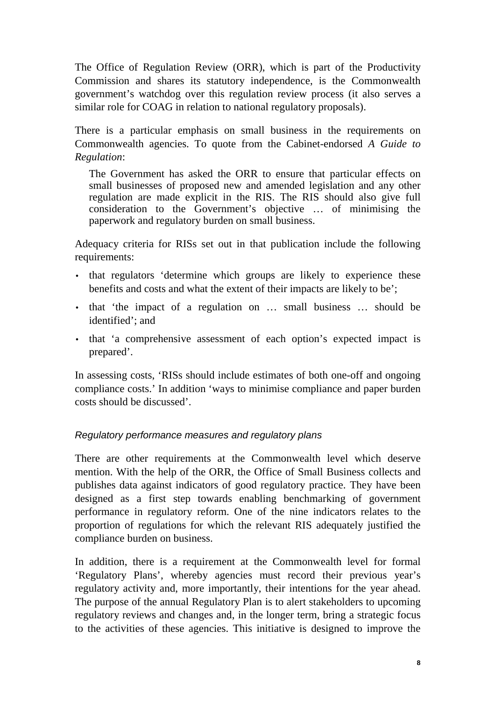The Office of Regulation Review (ORR), which is part of the Productivity Commission and shares its statutory independence, is the Commonwealth government's watchdog over this regulation review process (it also serves a similar role for COAG in relation to national regulatory proposals).

There is a particular emphasis on small business in the requirements on Commonwealth agencies. To quote from the Cabinet-endorsed *A Guide to Regulation*:

The Government has asked the ORR to ensure that particular effects on small businesses of proposed new and amended legislation and any other regulation are made explicit in the RIS. The RIS should also give full consideration to the Government's objective … of minimising the paperwork and regulatory burden on small business.

Adequacy criteria for RISs set out in that publication include the following requirements:

- that regulators 'determine which groups are likely to experience these benefits and costs and what the extent of their impacts are likely to be';
- that 'the impact of a regulation on ... small business ... should be identified'; and
- that 'a comprehensive assessment of each option's expected impact is prepared'.

In assessing costs, 'RISs should include estimates of both one-off and ongoing compliance costs.' In addition 'ways to minimise compliance and paper burden costs should be discussed'.

#### Regulatory performance measures and regulatory plans

There are other requirements at the Commonwealth level which deserve mention. With the help of the ORR, the Office of Small Business collects and publishes data against indicators of good regulatory practice. They have been designed as a first step towards enabling benchmarking of government performance in regulatory reform. One of the nine indicators relates to the proportion of regulations for which the relevant RIS adequately justified the compliance burden on business.

In addition, there is a requirement at the Commonwealth level for formal 'Regulatory Plans', whereby agencies must record their previous year's regulatory activity and, more importantly, their intentions for the year ahead. The purpose of the annual Regulatory Plan is to alert stakeholders to upcoming regulatory reviews and changes and, in the longer term, bring a strategic focus to the activities of these agencies. This initiative is designed to improve the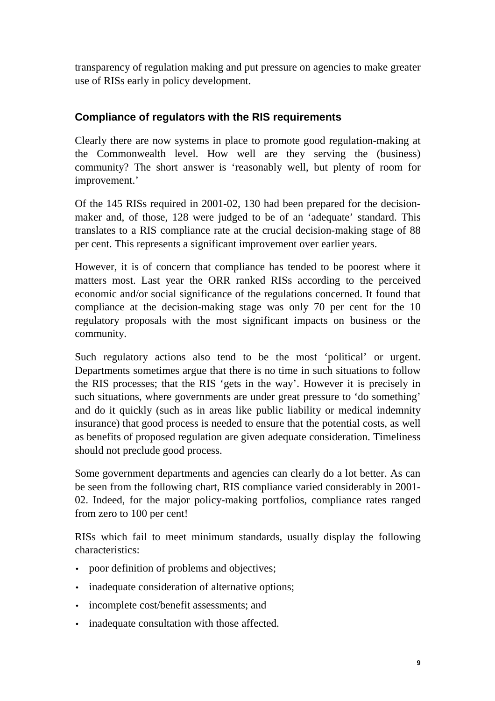transparency of regulation making and put pressure on agencies to make greater use of RISs early in policy development.

# **Compliance of regulators with the RIS requirements**

Clearly there are now systems in place to promote good regulation-making at the Commonwealth level. How well are they serving the (business) community? The short answer is 'reasonably well, but plenty of room for improvement.'

Of the 145 RISs required in 2001-02, 130 had been prepared for the decisionmaker and, of those, 128 were judged to be of an 'adequate' standard. This translates to a RIS compliance rate at the crucial decision-making stage of 88 per cent. This represents a significant improvement over earlier years.

However, it is of concern that compliance has tended to be poorest where it matters most. Last year the ORR ranked RISs according to the perceived economic and/or social significance of the regulations concerned. It found that compliance at the decision-making stage was only 70 per cent for the 10 regulatory proposals with the most significant impacts on business or the community.

Such regulatory actions also tend to be the most 'political' or urgent. Departments sometimes argue that there is no time in such situations to follow the RIS processes; that the RIS 'gets in the way'. However it is precisely in such situations, where governments are under great pressure to 'do something' and do it quickly (such as in areas like public liability or medical indemnity insurance) that good process is needed to ensure that the potential costs, as well as benefits of proposed regulation are given adequate consideration. Timeliness should not preclude good process.

Some government departments and agencies can clearly do a lot better. As can be seen from the following chart, RIS compliance varied considerably in 2001- 02. Indeed, for the major policy-making portfolios, compliance rates ranged from zero to 100 per cent!

RISs which fail to meet minimum standards, usually display the following characteristics:

- poor definition of problems and objectives;
- inadequate consideration of alternative options;
- incomplete cost/benefit assessments; and
- inadequate consultation with those affected.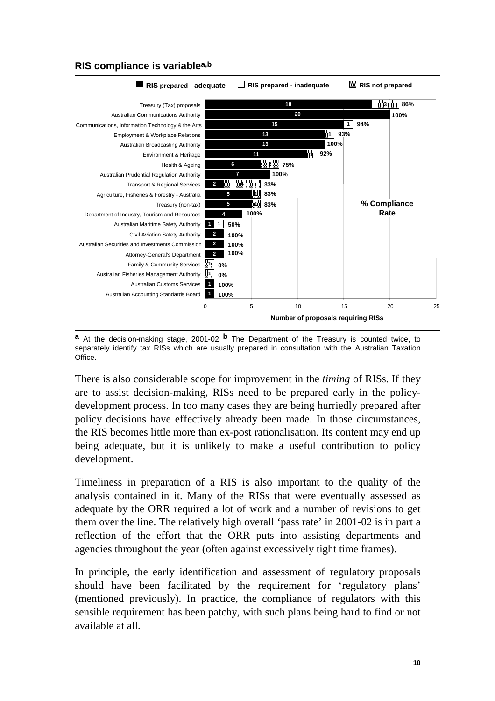

# **RIS compliance is variablea,b**

**a** At the decision-making stage, 2001-02 **b** The Department of the Treasury is counted twice, to separately identify tax RISs which are usually prepared in consultation with the Australian Taxation Office.

There is also considerable scope for improvement in the *timing* of RISs. If they are to assist decision-making, RISs need to be prepared early in the policydevelopment process. In too many cases they are being hurriedly prepared after policy decisions have effectively already been made. In those circumstances, the RIS becomes little more than ex-post rationalisation. Its content may end up being adequate, but it is unlikely to make a useful contribution to policy development.

Timeliness in preparation of a RIS is also important to the quality of the analysis contained in it. Many of the RISs that were eventually assessed as adequate by the ORR required a lot of work and a number of revisions to get them over the line. The relatively high overall 'pass rate' in 2001-02 is in part a reflection of the effort that the ORR puts into assisting departments and agencies throughout the year (often against excessively tight time frames).

In principle, the early identification and assessment of regulatory proposals should have been facilitated by the requirement for 'regulatory plans' (mentioned previously). In practice, the compliance of regulators with this sensible requirement has been patchy, with such plans being hard to find or not available at all.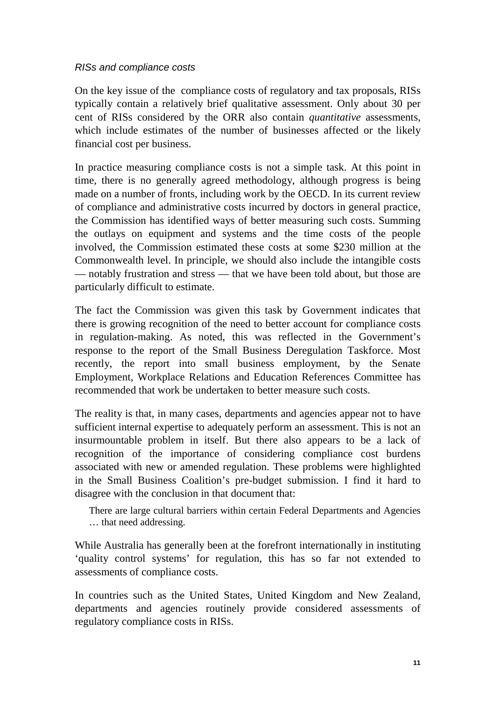#### RISs and compliance costs

On the key issue of the compliance costs of regulatory and tax proposals, RISs typically contain a relatively brief qualitative assessment. Only about 30 per cent of RISs considered by the ORR also contain *quantitative* assessments, which include estimates of the number of businesses affected or the likely financial cost per business.

In practice measuring compliance costs is not a simple task. At this point in time, there is no generally agreed methodology, although progress is being made on a number of fronts, including work by the OECD. In its current review of compliance and administrative costs incurred by doctors in general practice, the Commission has identified ways of better measuring such costs. Summing the outlays on equipment and systems and the time costs of the people involved, the Commission estimated these costs at some \$230 million at the Commonwealth level. In principle, we should also include the intangible costs — notably frustration and stress — that we have been told about, but those are particularly difficult to estimate.

The fact the Commission was given this task by Government indicates that there is growing recognition of the need to better account for compliance costs in regulation-making. As noted, this was reflected in the Government's response to the report of the Small Business Deregulation Taskforce. Most recently, the report into small business employment, by the Senate Employment, Workplace Relations and Education References Committee has recommended that work be undertaken to better measure such costs.

The reality is that, in many cases, departments and agencies appear not to have sufficient internal expertise to adequately perform an assessment. This is not an insurmountable problem in itself. But there also appears to be a lack of recognition of the importance of considering compliance cost burdens associated with new or amended regulation. These problems were highlighted in the Small Business Coalition's pre-budget submission. I find it hard to disagree with the conclusion in that document that:

There are large cultural barriers within certain Federal Departments and Agencies … that need addressing.

While Australia has generally been at the forefront internationally in instituting 'quality control systems' for regulation, this has so far not extended to assessments of compliance costs.

In countries such as the United States, United Kingdom and New Zealand, departments and agencies routinely provide considered assessments of regulatory compliance costs in RISs.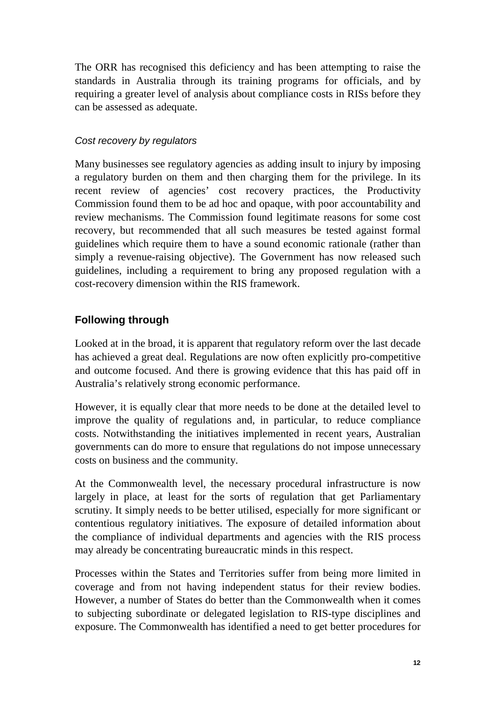The ORR has recognised this deficiency and has been attempting to raise the standards in Australia through its training programs for officials, and by requiring a greater level of analysis about compliance costs in RISs before they can be assessed as adequate.

### Cost recovery by regulators

Many businesses see regulatory agencies as adding insult to injury by imposing a regulatory burden on them and then charging them for the privilege. In its recent review of agencies' cost recovery practices, the Productivity Commission found them to be ad hoc and opaque, with poor accountability and review mechanisms. The Commission found legitimate reasons for some cost recovery, but recommended that all such measures be tested against formal guidelines which require them to have a sound economic rationale (rather than simply a revenue-raising objective). The Government has now released such guidelines, including a requirement to bring any proposed regulation with a cost-recovery dimension within the RIS framework.

# **Following through**

Looked at in the broad, it is apparent that regulatory reform over the last decade has achieved a great deal. Regulations are now often explicitly pro-competitive and outcome focused. And there is growing evidence that this has paid off in Australia's relatively strong economic performance.

However, it is equally clear that more needs to be done at the detailed level to improve the quality of regulations and, in particular, to reduce compliance costs. Notwithstanding the initiatives implemented in recent years, Australian governments can do more to ensure that regulations do not impose unnecessary costs on business and the community.

At the Commonwealth level, the necessary procedural infrastructure is now largely in place, at least for the sorts of regulation that get Parliamentary scrutiny. It simply needs to be better utilised, especially for more significant or contentious regulatory initiatives. The exposure of detailed information about the compliance of individual departments and agencies with the RIS process may already be concentrating bureaucratic minds in this respect.

Processes within the States and Territories suffer from being more limited in coverage and from not having independent status for their review bodies. However, a number of States do better than the Commonwealth when it comes to subjecting subordinate or delegated legislation to RIS-type disciplines and exposure. The Commonwealth has identified a need to get better procedures for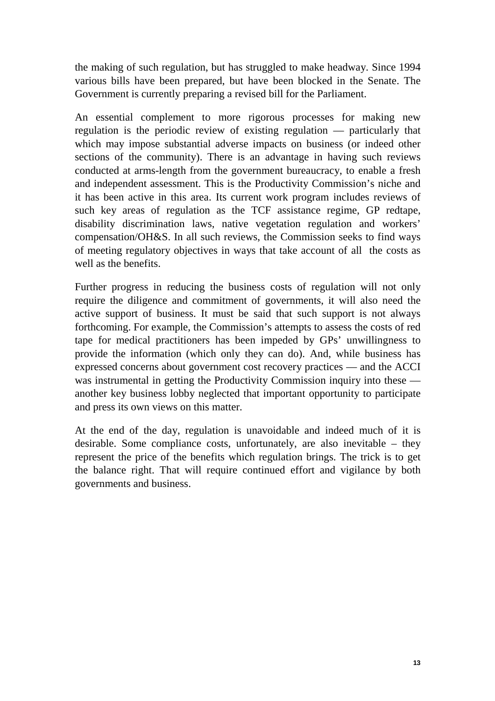the making of such regulation, but has struggled to make headway. Since 1994 various bills have been prepared, but have been blocked in the Senate. The Government is currently preparing a revised bill for the Parliament.

An essential complement to more rigorous processes for making new regulation is the periodic review of existing regulation — particularly that which may impose substantial adverse impacts on business (or indeed other sections of the community). There is an advantage in having such reviews conducted at arms-length from the government bureaucracy, to enable a fresh and independent assessment. This is the Productivity Commission's niche and it has been active in this area. Its current work program includes reviews of such key areas of regulation as the TCF assistance regime, GP redtape, disability discrimination laws, native vegetation regulation and workers' compensation/OH&S. In all such reviews, the Commission seeks to find ways of meeting regulatory objectives in ways that take account of all the costs as well as the benefits.

Further progress in reducing the business costs of regulation will not only require the diligence and commitment of governments, it will also need the active support of business. It must be said that such support is not always forthcoming. For example, the Commission's attempts to assess the costs of red tape for medical practitioners has been impeded by GPs' unwillingness to provide the information (which only they can do). And, while business has expressed concerns about government cost recovery practices — and the ACCI was instrumental in getting the Productivity Commission inquiry into these another key business lobby neglected that important opportunity to participate and press its own views on this matter.

At the end of the day, regulation is unavoidable and indeed much of it is desirable. Some compliance costs, unfortunately, are also inevitable – they represent the price of the benefits which regulation brings. The trick is to get the balance right. That will require continued effort and vigilance by both governments and business.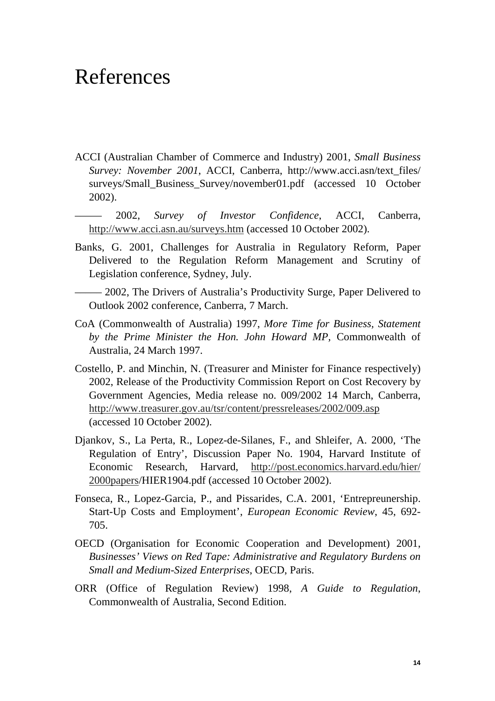# References

- ACCI (Australian Chamber of Commerce and Industry) 2001, *Small Business Survey: November 2001*, ACCI, Canberra, http://www.acci.asn/text\_files/ surveys/Small\_Business\_Survey/november01.pdf (accessed 10 October 2002).
- ––––– 2002, *Survey of Investor Confidence*, ACCI, Canberra, http://www.acci.asn.au/surveys.htm (accessed 10 October 2002).
- Banks, G. 2001, Challenges for Australia in Regulatory Reform, Paper Delivered to the Regulation Reform Management and Scrutiny of Legislation conference, Sydney, July.
- ––––– 2002, The Drivers of Australia's Productivity Surge, Paper Delivered to Outlook 2002 conference, Canberra, 7 March.
- CoA (Commonwealth of Australia) 1997, *More Time for Business, Statement by the Prime Minister the Hon. John Howard MP,* Commonwealth of Australia, 24 March 1997.
- Costello, P. and Minchin, N. (Treasurer and Minister for Finance respectively) 2002, Release of the Productivity Commission Report on Cost Recovery by Government Agencies, Media release no. 009/2002 14 March, Canberra, http://www.treasurer.gov.au/tsr/content/pressreleases/2002/009.asp (accessed 10 October 2002).
- Djankov, S., La Perta, R., Lopez-de-Silanes, F., and Shleifer, A. 2000, 'The Regulation of Entry', Discussion Paper No. 1904, Harvard Institute of Economic Research, Harvard, http://post.economics.harvard.edu/hier/ 2000papers/HIER1904.pdf (accessed 10 October 2002).
- Fonseca, R., Lopez-Garcia, P., and Pissarides, C.A. 2001, 'Entrepreunership. Start-Up Costs and Employment', *European Economic Review*, 45, 692- 705.
- OECD (Organisation for Economic Cooperation and Development) 2001, *Businesses' Views on Red Tape: Administrative and Regulatory Burdens on Small and Medium-Sized Enterprises*, OECD, Paris.
- ORR (Office of Regulation Review) 1998, *A Guide to Regulation*, Commonwealth of Australia, Second Edition.